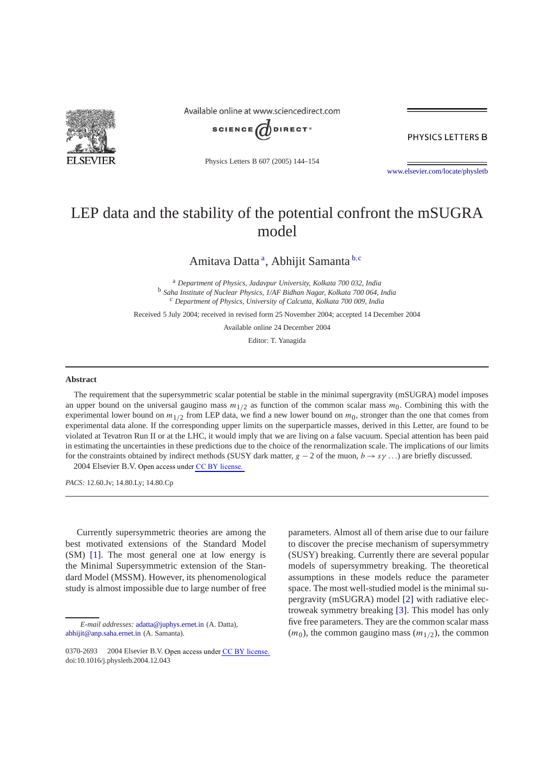

Available online at www.sciencedirect.com



PHYSICS LETTERS B

Physics Letters B 607 (2005) 144–154

[www.elsevier.com/locate/physletb](http://www.elsevier.com/locate/physletb)

## LEP data and the stability of the potential confront the mSUGRA model

Amitava Datta <sup>a</sup> , Abhijit Samanta <sup>b</sup>*,*<sup>c</sup>

<sup>a</sup> *Department of Physics, Jadavpur University, Kolkata 700 032, India* <sup>b</sup> *Saha Institute of Nuclear Physics, 1/AF Bidhan Nagar, Kolkata 700 064, India* <sup>c</sup> *Department of Physics, University of Calcutta, Kolkata 700 009, India*

Received 5 July 2004; received in revised form 25 November 2004; accepted 14 December 2004

Available online 24 December 2004

Editor: T. Yanagida

## **Abstract**

The requirement that the supersymmetric scalar potential be stable in the minimal supergravity (mSUGRA) model imposes an upper bound on the universal gaugino mass  $m_{1/2}$  as function of the common scalar mass  $m_0$ . Combining this with the experimental lower bound on  $m_{1/2}$  from LEP data, we find a new lower bound on  $m_0$ , stronger than the one that comes from experimental data alone. If the corresponding upper limits on the superparticle masses, derived in this Letter, are found to be violated at Tevatron Run II or at the LHC, it would imply that we are living on a false vacuum. Special attention has been paid in estimating the uncertainties in these predictions due to the choice of the renormalization scale. The implications of our limits for the constraints obtained by indirect methods (SUSY dark matter, *g* − 2 of the muon, *b* → *sγ ...*) are briefly discussed.  $© 2004 Elsevier B.V. Open access under CC BY license.$  $© 2004 Elsevier B.V. Open access under CC BY license.$ 

*PACS:* 12.60.Jv; 14.80.Ly; 14.80.Cp

Currently supersymmetric theories are among the best motivated extensions of the Standard Model (SM) [\[1\].](#page-9-0) The most general one at low energy is the Minimal Supersymmetric extension of the Standard Model (MSSM). However, its phenomenological study is almost impossible due to large number of free

*E-mail addresses:* [adatta@juphys.ernet.in](mailto:adatta@juphys.ernet.in) (A. Datta), [abhijit@anp.saha.ernet.in](mailto:abhijit@anp.saha.ernet.in) (A. Samanta).

parameters. Almost all of them arise due to our failure to discover the precise mechanism of supersymmetry (SUSY) breaking. Currently there are several popular models of supersymmetry breaking. The theoretical assumptions in these models reduce the parameter space. The most well-studied model is the minimal supergravity (mSUGRA) model [\[2\]](#page-9-0) with radiative electroweak symmetry breaking [\[3\].](#page-9-0) This model has only five free parameters. They are the common scalar mass  $(m_0)$ , the common gaugino mass  $(m_{1/2})$ , the common

<sup>0370-2693 © 2004</sup> Elsevier B.V. Open access under [CC BY license.](http://creativecommons.org/licenses/by/3.0/) doi:10.1016/j.physletb.2004.12.043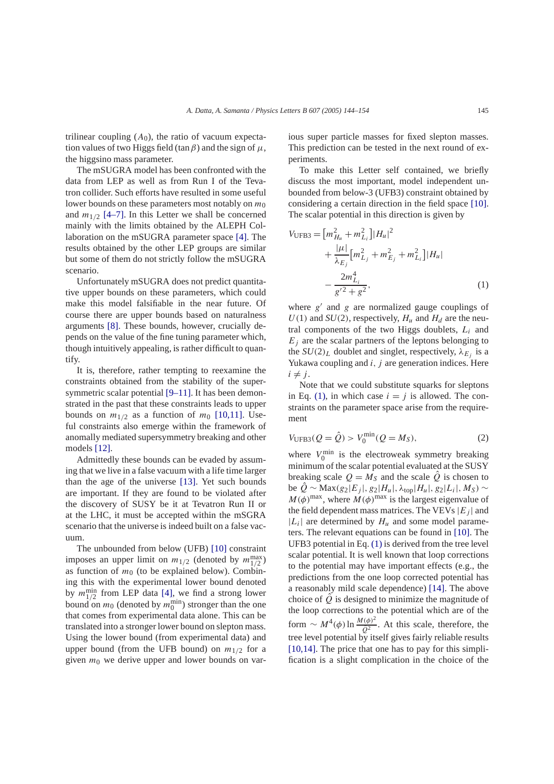<span id="page-1-0"></span>trilinear coupling  $(A_0)$ , the ratio of vacuum expectation values of two Higgs field (tan  $\beta$ ) and the sign of  $\mu$ , the higgsino mass parameter.

The mSUGRA model has been confronted with the data from LEP as well as from Run I of the Tevatron collider. Such efforts have resulted in some useful lower bounds on these parameters most notably on  $m_0$ and  $m_{1/2}$  [\[4–7\].](#page-9-0) In this Letter we shall be concerned mainly with the limits obtained by the ALEPH Collaboration on the mSUGRA parameter space [\[4\].](#page-9-0) The results obtained by the other LEP groups are similar but some of them do not strictly follow the mSUGRA scenario.

Unfortunately mSUGRA does not predict quantitative upper bounds on these parameters, which could make this model falsifiable in the near future. Of course there are upper bounds based on naturalness arguments [\[8\].](#page-10-0) These bounds, however, crucially depends on the value of the fine tuning parameter which, though intuitively appealing, is rather difficult to quantify.

It is, therefore, rather tempting to reexamine the constraints obtained from the stability of the super-symmetric scalar potential [\[9–11\].](#page-10-0) It has been demonstrated in the past that these constraints leads to upper bounds on  $m_{1/2}$  as a function of  $m_0$  [\[10,11\].](#page-10-0) Useful constraints also emerge within the framework of anomally mediated supersymmetry breaking and other models [\[12\].](#page-10-0)

Admittedly these bounds can be evaded by assuming that we live in a false vacuum with a life time larger than the age of the universe [\[13\].](#page-10-0) Yet such bounds are important. If they are found to be violated after the discovery of SUSY be it at Tevatron Run II or at the LHC, it must be accepted within the mSGRA scenario that the universe is indeed built on a false vacuum.

The unbounded from below (UFB) [\[10\]](#page-10-0) constraint imposes an upper limit on  $m_{1/2}$  (denoted by  $m_{1/2}^{\text{max}}$ ) as function of  $m_0$  (to be explained below). Combining this with the experimental lower bound denoted by  $m_{1/2}^{\text{min}}$  from LEP data [\[4\],](#page-9-0) we find a strong lower bound on  $m_0$  (denoted by  $m_0^{\text{min}}$ ) stronger than the one that comes from experimental data alone. This can be translated into a stronger lower bound on slepton mass. Using the lower bound (from experimental data) and upper bound (from the UFB bound) on  $m_{1/2}$  for a given  $m_0$  we derive upper and lower bounds on various super particle masses for fixed slepton masses. This prediction can be tested in the next round of experiments.

To make this Letter self contained, we briefly discuss the most important, model independent unbounded from below-3 (UFB3) constraint obtained by considering a certain direction in the field space [\[10\].](#page-10-0) The scalar potential in this direction is given by

$$
V_{\text{UFB3}} = [m_{H_u}^2 + m_{L_i}^2] |H_u|^2
$$
  
+ 
$$
\frac{|\mu|}{\lambda_{E_j}} [m_{L_j}^2 + m_{E_j}^2 + m_{L_i}^2] |H_u|
$$
  
- 
$$
\frac{2m_{L_i}^4}{g'^2 + g^2},
$$
 (1)

where  $g'$  and  $g$  are normalized gauge couplings of  $U(1)$  and  $SU(2)$ , respectively,  $H_u$  and  $H_d$  are the neutral components of the two Higgs doublets, *Li* and  $E_j$  are the scalar partners of the leptons belonging to the  $SU(2)_L$  doublet and singlet, respectively,  $\lambda_E$  is a Yukawa coupling and *i, j* are generation indices. Here  $i \neq j$ .

Note that we could substitute squarks for sleptons in Eq. (1), in which case  $i = j$  is allowed. The constraints on the parameter space arise from the requirement

$$
V_{\text{UFB3}}(Q = \hat{Q}) > V_0^{\min}(Q = M_S),\tag{2}
$$

where  $V_0^{\text{min}}$  is the electroweak symmetry breaking minimum of the scalar potential evaluated at the SUSY breaking scale  $Q = M<sub>S</sub>$  and the scale  $\hat{Q}$  is chosen to be *Q*ˆ ∼ Max*(g*2|*Ej* |*, g*2|*Hu*|*, λ*top|*Hu*|*, g*2|*Li*|*,MS)* ∼  $M(\phi)$ <sup>max</sup>, where  $M(\phi)$ <sup>max</sup> is the largest eigenvalue of the field dependent mass matrices. The VEVs  $|E_i|$  and  $|L_i|$  are determined by  $H_u$  and some model parameters. The relevant equations can be found in [\[10\].](#page-10-0) The UFB3 potential in Eq. (1) is derived from the tree level scalar potential. It is well known that loop corrections to the potential may have important effects (e.g., the predictions from the one loop corrected potential has a reasonably mild scale dependence) [\[14\].](#page-10-0) The above choice of  $\ddot{Q}$  is designed to minimize the magnitude of the loop corrections to the potential which are of the form  $\sim M^4(\phi) \ln \frac{M(\phi)^2}{\hat{Q}^2}$ . At this scale, therefore, the tree level potential by itself gives fairly reliable results [\[10,14\].](#page-10-0) The price that one has to pay for this simplification is a slight complication in the choice of the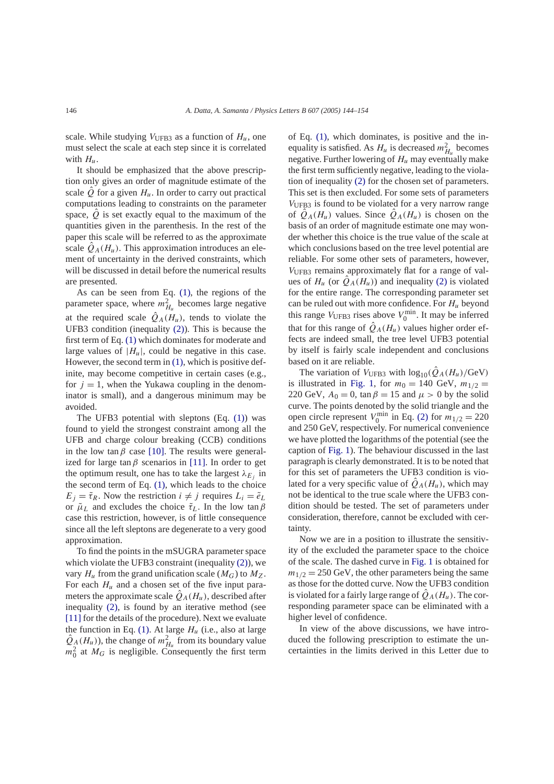scale. While studying  $V_{\text{UFB3}}$  as a function of  $H_u$ , one must select the scale at each step since it is correlated with  $H_u$ .

It should be emphasized that the above prescription only gives an order of magnitude estimate of the scale  $\hat{Q}$  for a given  $H_u$ . In order to carry out practical computations leading to constraints on the parameter space,  $\ddot{\theta}$  is set exactly equal to the maximum of the quantities given in the parenthesis. In the rest of the paper this scale will be referred to as the approximate scale  $Q_A(H_u)$ . This approximation introduces an element of uncertainty in the derived constraints, which will be discussed in detail before the numerical results are presented.

As can be seen from Eq. [\(1\),](#page-1-0) the regions of the parameter space, where  $m_{H_u}^2$  becomes large negative at the required scale  $\hat{Q}_A(H_u)$ , tends to violate the UFB3 condition (inequality [\(2\)\)](#page-1-0). This is because the first term of Eq. [\(1\)](#page-1-0) which dominates for moderate and large values of  $|H_u|$ , could be negative in this case. However, the second term in [\(1\),](#page-1-0) which is positive definite, may become competitive in certain cases (e.g., for  $j = 1$ , when the Yukawa coupling in the denominator is small), and a dangerous minimum may be avoided.

The UFB3 potential with sleptons (Eq. [\(1\)\)](#page-1-0) was found to yield the strongest constraint among all the UFB and charge colour breaking (CCB) conditions in the low tan  $\beta$  case [\[10\].](#page-10-0) The results were generalized for large tan $\beta$  scenarios in [\[11\].](#page-10-0) In order to get the optimum result, one has to take the largest  $\lambda_{E_i}$  in the second term of Eq. [\(1\),](#page-1-0) which leads to the choice  $E_i = \tilde{\tau}_R$ . Now the restriction  $i \neq j$  requires  $L_i = \tilde{e}_L$ or  $\tilde{\mu}_L$  and excludes the choice  $\tilde{\tau}_L$ . In the low tan  $\beta$ case this restriction, however, is of little consequence since all the left sleptons are degenerate to a very good approximation.

To find the points in the mSUGRA parameter space which violate the UFB3 constraint (inequality [\(2\)\)](#page-1-0), we vary  $H_u$  from the grand unification scale  $(M_G)$  to  $M_Z$ . For each  $H_u$  and a chosen set of the five input parameters the approximate scale  $Q_A(H_u)$ , described after inequality [\(2\),](#page-1-0) is found by an iterative method (see [\[11\]](#page-10-0) for the details of the procedure). Next we evaluate the function in Eq.  $(1)$ . At large  $H_u$  (i.e., also at large  $\hat{Q}_A(H_u)$ , the change of  $m_{H_u}^2$  from its boundary value  $m_0^2$  at  $M_G$  is negligible. Consequently the first term

of Eq. [\(1\),](#page-1-0) which dominates, is positive and the inequality is satisfied. As  $H_u$  is decreased  $m_{H_u}^2$  becomes negative. Further lowering of  $H_u$  may eventually make the first term sufficiently negative, leading to the violation of inequality [\(2\)](#page-1-0) for the chosen set of parameters. This set is then excluded. For some sets of parameters *V*UFB3 is found to be violated for a very narrow range of  $\ddot{Q}_A(H_u)$  values. Since  $\ddot{Q}_A(H_u)$  is chosen on the basis of an order of magnitude estimate one may wonder whether this choice is the true value of the scale at which conclusions based on the tree level potential are reliable. For some other sets of parameters, however, *V*UFB3 remains approximately flat for a range of values of  $H_u$  (or  $Q_A(H_u)$ ) and inequality [\(2\)](#page-1-0) is violated for the entire range. The corresponding parameter set can be ruled out with more confidence. For *Hu* beyond this range  $V_{\text{UFB3}}$  rises above  $V_0^{\text{min}}$ . It may be inferred that for this range of  $\hat{Q}_A(H_u)$  values higher order effects are indeed small, the tree level UFB3 potential by itself is fairly scale independent and conclusions based on it are reliable.

The variation of  $V_{\text{UFB3}}$  with  $\log_{10}(\hat{Q}_A(H_u)/\text{GeV})$ is illustrated in [Fig. 1,](#page-3-0) for  $m_0 = 140$  GeV,  $m_{1/2} =$ 220 GeV,  $A_0 = 0$ ,  $\tan \beta = 15$  and  $\mu > 0$  by the solid curve. The points denoted by the solid triangle and the open circle represent  $V_0^{\text{min}}$  in Eq. [\(2\)](#page-1-0) for  $m_{1/2} = 220$ and 250 GeV, respectively. For numerical convenience we have plotted the logarithms of the potential (see the caption of [Fig. 1\)](#page-3-0). The behaviour discussed in the last paragraph is clearly demonstrated. It is to be noted that for this set of parameters the UFB3 condition is violated for a very specific value of  $\hat{Q}_A(H_u)$ , which may not be identical to the true scale where the UFB3 condition should be tested. The set of parameters under consideration, therefore, cannot be excluded with certainty.

Now we are in a position to illustrate the sensitivity of the excluded the parameter space to the choice of the scale. The dashed curve in [Fig. 1](#page-3-0) is obtained for  $m_{1/2} = 250$  GeV, the other parameters being the same as those for the dotted curve. Now the UFB3 condition is violated for a fairly large range of  $\hat{Q}_A(H_u)$ . The corresponding parameter space can be eliminated with a higher level of confidence.

In view of the above discussions, we have introduced the following prescription to estimate the uncertainties in the limits derived in this Letter due to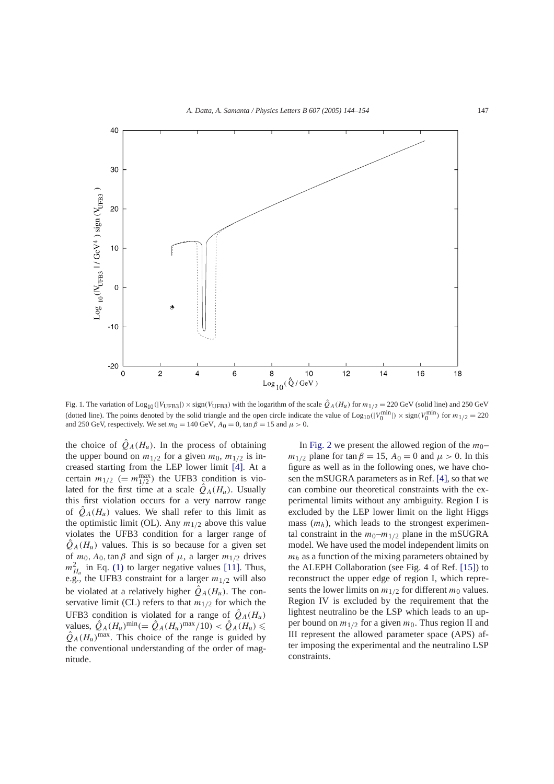<span id="page-3-0"></span>

Fig. 1. The variation of  $\text{Log}_{10}(|V_{\text{UFB3}}|) \times \text{sign}(V_{\text{UFB3}})$  with the logarithm of the scale  $\hat{Q}_A(H_u)$  for  $m_{1/2} = 220 \text{ GeV}$  (solid line) and 250 GeV (dotted line). The points denoted by the solid triangle and the open circle indicate the value of  $\text{Log}_{10}(|V_0^{\text{min}}|) \times \text{sign}(V_0^{\text{min}})$  for  $m_{1/2} = 220$ and 250 GeV, respectively. We set  $m_0 = 140$  GeV,  $A_0 = 0$ ,  $\tan \beta = 15$  and  $\mu > 0$ .

the choice of  $\hat{Q}_A(H_u)$ . In the process of obtaining the upper bound on  $m_{1/2}$  for a given  $m_0$ ,  $m_{1/2}$  is increased starting from the LEP lower limit [\[4\].](#page-9-0) At a certain  $m_{1/2}$  (=  $m_{1/2}^{\text{max}}$ ) the UFB3 condition is violated for the first time at a scale  $\hat{Q}_A(H_u)$ . Usually this first violation occurs for a very narrow range of  $\hat{Q}_A(H_u)$  values. We shall refer to this limit as the optimistic limit (OL). Any  $m_{1/2}$  above this value violates the UFB3 condition for a larger range of  $Q_A(H_u)$  values. This is so because for a given set of  $m_0$ ,  $A_0$ ,  $\tan \beta$  and sign of  $\mu$ , a larger  $m_{1/2}$  drives  $m_{H_u}^2$  in Eq. [\(1\)](#page-1-0) to larger negative values [\[11\].](#page-10-0) Thus, e.g., the UFB3 constraint for a larger  $m_{1/2}$  will also be violated at a relatively higher  $\ddot{Q}_A(H_u)$ . The conservative limit (CL) refers to that  $m_{1/2}$  for which the UFB3 condition is violated for a range of  $\hat{Q}_A(H_u)$ values,  $\hat{Q}_A(H_u)^{\text{min}} (= \hat{Q}_A(H_u)^{\text{max}}/10) < \hat{Q}_A(H_u)$  $\hat{Q}_A(H_u)$ <sup>max</sup>. This choice of the range is guided by the conventional understanding of the order of magnitude.

In [Fig. 2](#page-4-0) we present the allowed region of the  $m_0$ – *m*<sub>1/2</sub> plane for tan  $\beta = 15$ ,  $A_0 = 0$  and  $\mu > 0$ . In this figure as well as in the following ones, we have chosen the mSUGRA parameters as in Ref. [\[4\],](#page-9-0) so that we can combine our theoretical constraints with the experimental limits without any ambiguity. Region I is excluded by the LEP lower limit on the light Higgs mass  $(m_h)$ , which leads to the strongest experimental constraint in the  $m_0$ – $m_{1/2}$  plane in the mSUGRA model. We have used the model independent limits on  $m_h$  as a function of the mixing parameters obtained by the ALEPH Collaboration (see Fig. 4 of Ref. [\[15\]\)](#page-10-0) to reconstruct the upper edge of region I, which represents the lower limits on  $m_{1/2}$  for different  $m_0$  values. Region IV is excluded by the requirement that the lightest neutralino be the LSP which leads to an upper bound on  $m_{1/2}$  for a given  $m_0$ . Thus region II and III represent the allowed parameter space (APS) after imposing the experimental and the neutralino LSP constraints.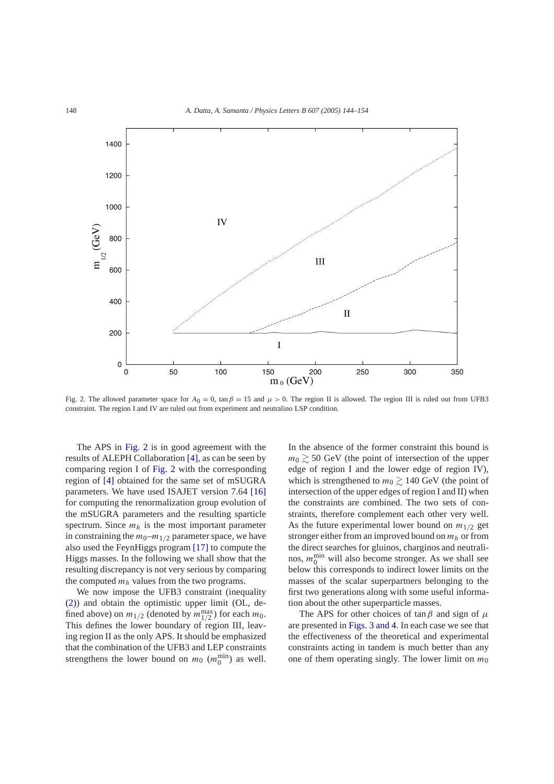<span id="page-4-0"></span>

Fig. 2. The allowed parameter space for  $A_0 = 0$ ,  $\tan \beta = 15$  and  $\mu > 0$ . The region II is allowed. The region III is ruled out from UFB3 constraint. The region I and IV are ruled out from experiment and neutralino LSP condition.

The APS in Fig. 2 is in good agreement with the results of ALEPH Collaboration [\[4\],](#page-9-0) as can be seen by comparing region I of Fig. 2 with the corresponding region of [\[4\]](#page-9-0) obtained for the same set of mSUGRA parameters. We have used ISAJET version 7.64 [\[16\]](#page-10-0) for computing the renormalization group evolution of the mSUGRA parameters and the resulting sparticle spectrum. Since  $m_h$  is the most important parameter in constraining the  $m_0$ – $m_{1/2}$  parameter space, we have also used the FeynHiggs program [\[17\]](#page-10-0) to compute the Higgs masses. In the following we shall show that the resulting discrepancy is not very serious by comparing the computed  $m_h$  values from the two programs.

We now impose the UFB3 constraint (inequality [\(2\)\)](#page-1-0) and obtain the optimistic upper limit (OL, defined above) on  $m_{1/2}$  (denoted by  $m_{1/2}^{\text{max}}$ ) for each  $m_0$ . This defines the lower boundary of region III, leaving region II as the only APS. It should be emphasized that the combination of the UFB3 and LEP constraints strengthens the lower bound on  $m_0$  ( $m_0^{\text{min}}$ ) as well.

In the absence of the former constraint this bound is  $m_0 \gtrsim 50$  GeV (the point of intersection of the upper edge of region I and the lower edge of region IV), which is strengthened to  $m_0 \gtrsim 140$  GeV (the point of intersection of the upper edges of region I and II) when the constraints are combined. The two sets of constraints, therefore complement each other very well. As the future experimental lower bound on  $m_{1/2}$  get stronger either from an improved bound on *mh* or from the direct searches for gluinos, charginos and neutralinos,  $m_0^{\text{min}}$  will also become stronger. As we shall see below this corresponds to indirect lower limits on the masses of the scalar superpartners belonging to the first two generations along with some useful information about the other superparticle masses.

The APS for other choices of tan*β* and sign of *µ* are presented in [Figs. 3 and 4.](#page-5-0) In each case we see that the effectiveness of the theoretical and experimental constraints acting in tandem is much better than any one of them operating singly. The lower limit on  $m_0$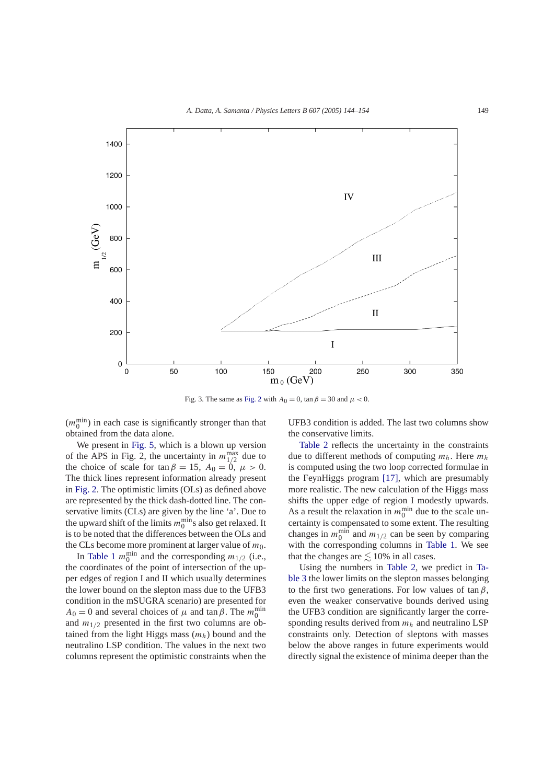<span id="page-5-0"></span>

Fig. 3. The same as [Fig. 2](#page-4-0) with  $A_0 = 0$ , tan  $\beta = 30$  and  $\mu < 0$ .

 $(m_0^{\text{min}})$  in each case is significantly stronger than that obtained from the data alone.

We present in [Fig. 5,](#page-7-0) which is a blown up version of the APS in Fig. 2, the uncertainty in  $m_{1/2}^{\text{max}}$  due to the choice of scale for tan  $\beta = 15$ ,  $A_0 = 0$ ,  $\mu > 0$ . The thick lines represent information already present in [Fig. 2.](#page-4-0) The optimistic limits (OLs) as defined above are represented by the thick dash-dotted line. The conservative limits (CLs) are given by the line 'a'. Due to the upward shift of the limits  $m_0^{\text{min}}$ s also get relaxed. It is to be noted that the differences between the OLs and the CLs become more prominent at larger value of  $m_0$ .

In [Table 1](#page-6-0)  $m_0^{\text{min}}$  and the corresponding  $m_{1/2}$  (i.e., the coordinates of the point of intersection of the upper edges of region I and II which usually determines the lower bound on the slepton mass due to the UFB3 condition in the mSUGRA scenario) are presented for  $A_0 = 0$  and several choices of  $\mu$  and tan  $\beta$ . The  $m_0^{\text{min}}$ and  $m_{1/2}$  presented in the first two columns are obtained from the light Higgs mass (*mh*) bound and the neutralino LSP condition. The values in the next two columns represent the optimistic constraints when the UFB3 condition is added. The last two columns show the conservative limits.

[Table 2](#page-6-0) reflects the uncertainty in the constraints due to different methods of computing *mh*. Here *mh* is computed using the two loop corrected formulae in the FeynHiggs program [\[17\],](#page-10-0) which are presumably more realistic. The new calculation of the Higgs mass shifts the upper edge of region I modestly upwards. As a result the relaxation in  $m_0^{\text{min}}$  due to the scale uncertainty is compensated to some extent. The resulting changes in  $m_0^{\text{min}}$  and  $m_{1/2}$  can be seen by comparing with the corresponding columns in [Table 1.](#page-6-0) We see that the changes are  $\leq 10\%$  in all cases.

Using the numbers in [Table 2,](#page-6-0) we predict in [Ta](#page-7-0)[ble 3](#page-7-0) the lower limits on the slepton masses belonging to the first two generations. For low values of tan*β*, even the weaker conservative bounds derived using the UFB3 condition are significantly larger the corresponding results derived from *mh* and neutralino LSP constraints only. Detection of sleptons with masses below the above ranges in future experiments would directly signal the existence of minima deeper than the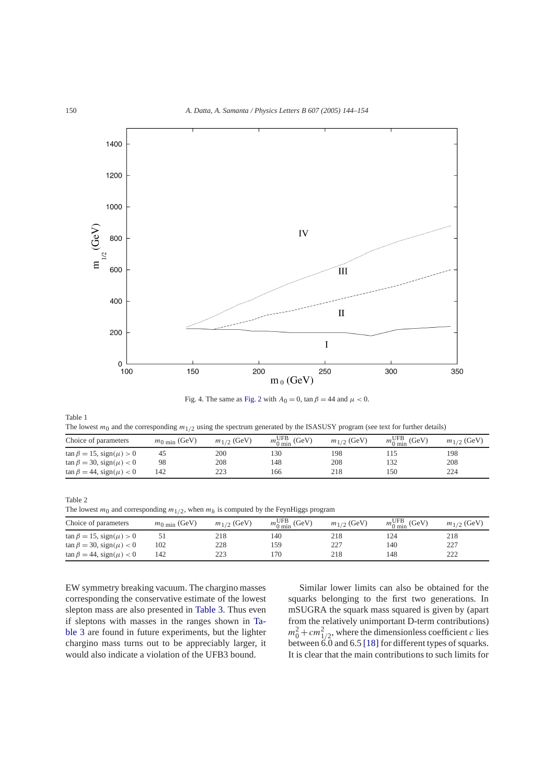<span id="page-6-0"></span>

Fig. 4. The same as [Fig. 2](#page-4-0) with  $A_0 = 0$ , tan  $\beta = 44$  and  $\mu < 0$ .

| Table 1                                                                                                                             |  |
|-------------------------------------------------------------------------------------------------------------------------------------|--|
| The lowest $m_0$ and the corresponding $m_{1/2}$ using the spectrum generated by the ISASUSY program (see text for further details) |  |

| Choice of parameters                | $m_0$ <sub>min</sub> (GeV) | $m_{1/2}$ (GeV) | $m_{0\,\text{min}}^{\text{UFB}}$ (GeV) | $m_{1/2}$ (GeV) | $m_{0 \text{ min}}^{\text{UFB}}$ (GeV) | $m_{1/2}$ (GeV) |
|-------------------------------------|----------------------------|-----------------|----------------------------------------|-----------------|----------------------------------------|-----------------|
| $\tan \beta = 15$ , $sign(\mu) > 0$ |                            | 200             | 130                                    | 198             |                                        | 198             |
| $\tan \beta = 30$ , $sign(\mu) < 0$ | 98                         | 208             | 148                                    | 208             | 132                                    | 208             |
| $\tan \beta = 44$ , $sign(\mu) < 0$ | 142                        | 223             | 166                                    | 218             | 150                                    | 224             |

Table 2 The lowest  $m_0$  and corresponding  $m_{1/2}$ , when  $m_h$  is computed by the FeynHiggs program

| Choice of parameters                | $m_0$ <sub>min</sub> (GeV) | $m_{1/2}$ (GeV) | $m_{0 \text{ min}}^{\text{UFB}}$ (GeV) | $m_{1/2}$ (GeV) | $m_{0 \text{ min}}^{\text{UFB}}$ (GeV) | $m_{1/2}$ (GeV) |
|-------------------------------------|----------------------------|-----------------|----------------------------------------|-----------------|----------------------------------------|-----------------|
| $\tan \beta = 15$ , $sign(\mu) > 0$ |                            | 218             | 140                                    | 218             | 24،                                    | 218             |
| $\tan \beta = 30$ , $sign(\mu) < 0$ | 102                        | 228             | 159                                    | 227             | 140                                    | 227             |
| $\tan \beta = 44$ , $sign(\mu) < 0$ | 142                        | 223             | 170                                    | 218             | 148                                    | 222             |

EW symmetry breaking vacuum. The chargino masses corresponding the conservative estimate of the lowest slepton mass are also presented in [Table 3.](#page-7-0) Thus even if sleptons with masses in the ranges shown in [Ta](#page-7-0)[ble 3](#page-7-0) are found in future experiments, but the lighter chargino mass turns out to be appreciably larger, it would also indicate a violation of the UFB3 bound.

Similar lower limits can also be obtained for the squarks belonging to the first two generations. In mSUGRA the squark mass squared is given by (apart from the relatively unimportant D-term contributions)  $m_0^2 + cm_{1/2}^2$ , where the dimensionless coefficient *c* lies between 6.0 and 6.5 [\[18\]](#page-10-0) for different types of squarks. It is clear that the main contributions to such limits for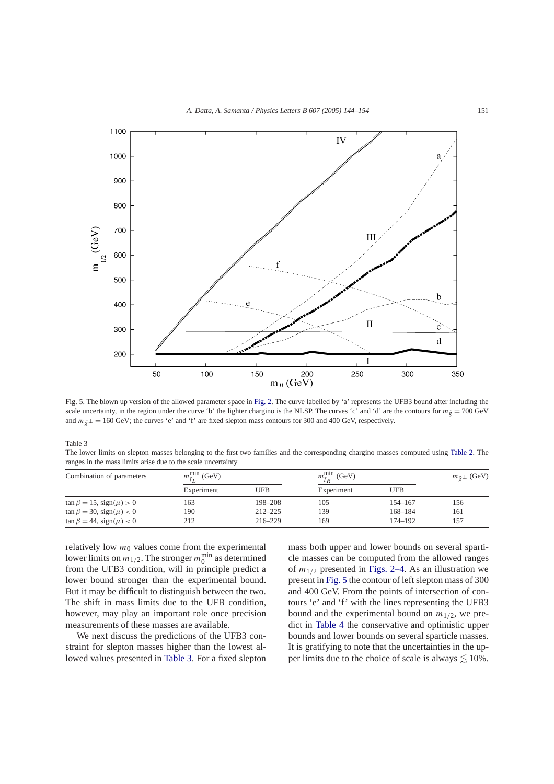<span id="page-7-0"></span>

Fig. 5. The blown up version of the allowed parameter space in [Fig. 2.](#page-4-0) The curve labelled by 'a' represents the UFB3 bound after including the scale uncertainty, in the region under the curve 'b' the lighter chargino is the NLSP. The curves 'c' and 'd' are the contours for  $m_{\tilde{g}} = 700 \text{ GeV}$ and  $m_{\tilde{y}\pm} = 160$  GeV; the curves 'e' and 'f' are fixed slepton mass contours for 300 and 400 GeV, respectively.

Table 3

The lower limits on slepton masses belonging to the first two families and the corresponding chargino masses computed using [Table 2.](#page-6-0) The ranges in the mass limits arise due to the scale uncertainty

| Combination of parameters           | $m_{\tilde{i}I}^{\text{min}}$ (GeV) |             | $m_{\tilde{I}R}^{\text{min}}$ (GeV) |            | $m_{\tilde{y}} \pm$ (GeV) |
|-------------------------------------|-------------------------------------|-------------|-------------------------------------|------------|---------------------------|
|                                     | Experiment                          | <b>UFB</b>  | Experiment                          | <b>UFB</b> |                           |
| $\tan \beta = 15$ , $sign(\mu) > 0$ | 163                                 | 198-208     | 105                                 | 154–167    | 156                       |
| $\tan \beta = 30$ , $sign(\mu) < 0$ | 190                                 | $212 - 225$ | 139                                 | 168-184    | 161                       |
| $\tan \beta = 44$ , $sign(\mu) < 0$ | 212                                 | $216 - 229$ | 169                                 | 174-192    | 157                       |

relatively low  $m_0$  values come from the experimental lower limits on  $m_{1/2}$ . The stronger  $m_0^{\text{min}}$  as determined from the UFB3 condition, will in principle predict a lower bound stronger than the experimental bound. But it may be difficult to distinguish between the two. The shift in mass limits due to the UFB condition, however, may play an important role once precision measurements of these masses are available.

We next discuss the predictions of the UFB3 constraint for slepton masses higher than the lowest allowed values presented in Table 3. For a fixed slepton mass both upper and lower bounds on several sparticle masses can be computed from the allowed ranges of  $m_{1/2}$  presented in [Figs. 2–4.](#page-4-0) As an illustration we present in Fig. 5 the contour of left slepton mass of 300 and 400 GeV. From the points of intersection of contours 'e' and 'f' with the lines representing the UFB3 bound and the experimental bound on  $m_{1/2}$ , we predict in [Table 4](#page-8-0) the conservative and optimistic upper bounds and lower bounds on several sparticle masses. It is gratifying to note that the uncertainties in the upper limits due to the choice of scale is always  $\lesssim 10\%$ .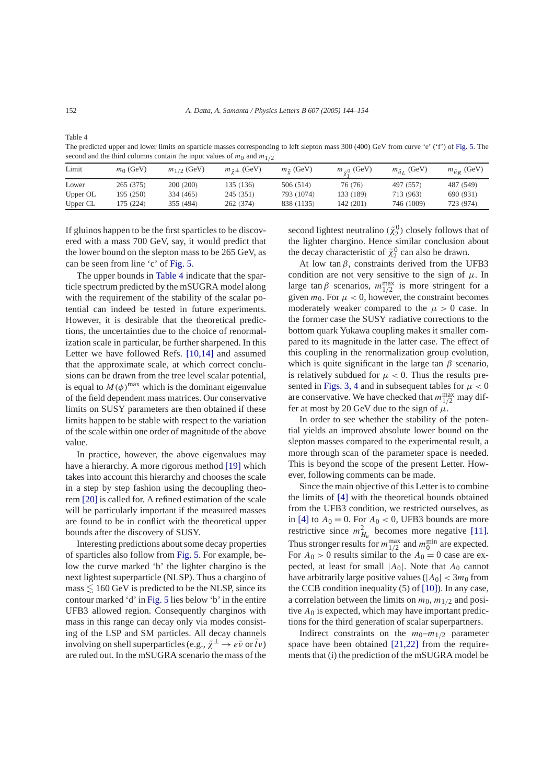The predicted upper and lower limits on sparticle masses corresponding to left slepton mass 300 (400) GeV from curve 'e' ('f') of [Fig. 5.](#page-7-0) The second and the third columns contain the input values of  $m_0$  and  $m_{1/2}$ 

| Limit    | $m0$ (GeV) | $m_{1/2}$ (GeV) | $m_{\tilde{\gamma}\pm}$ (GeV) | $m_{\tilde{o}}$ (GeV) | $m_{z0}$ (GeV) | $m_{\tilde{u}_I}$ (GeV) | $m_{\tilde{u}p}$ (GeV) |
|----------|------------|-----------------|-------------------------------|-----------------------|----------------|-------------------------|------------------------|
| Lower    | 265 (375)  | 200 (200)       | 135 (136)                     | 506 (514)             | 76 (76)        | 497 (557)               | 487 (549)              |
| Upper OL | 195 (250)  | 334 (465)       | 245 (351)                     | 793 (1074)            | 133 (189)      | 713 (963)               | 690 (931)              |
| Upper CL | 175 (224)  | 355 (494)       | 262 (374)                     | 838 (1135)            | 142 (201)      | 746 (1009)              | 723 (974)              |

If gluinos happen to be the first sparticles to be discovered with a mass 700 GeV, say, it would predict that the lower bound on the slepton mass to be 265 GeV, as can be seen from line 'c' of [Fig. 5.](#page-7-0)

The upper bounds in Table 4 indicate that the sparticle spectrum predicted by the mSUGRA model along with the requirement of the stability of the scalar potential can indeed be tested in future experiments. However, it is desirable that the theoretical predictions, the uncertainties due to the choice of renormalization scale in particular, be further sharpened. In this Letter we have followed Refs. [\[10,14\]](#page-10-0) and assumed that the approximate scale, at which correct conclusions can be drawn from the tree level scalar potential, is equal to  $M(\phi)$ <sup>max</sup> which is the dominant eigenvalue of the field dependent mass matrices. Our conservative limits on SUSY parameters are then obtained if these limits happen to be stable with respect to the variation of the scale within one order of magnitude of the above value.

In practice, however, the above eigenvalues may have a hierarchy. A more rigorous method [\[19\]](#page-10-0) which takes into account this hierarchy and chooses the scale in a step by step fashion using the decoupling theorem [\[20\]](#page-10-0) is called for. A refined estimation of the scale will be particularly important if the measured masses are found to be in conflict with the theoretical upper bounds after the discovery of SUSY.

Interesting predictions about some decay properties of sparticles also follow from [Fig. 5.](#page-7-0) For example, below the curve marked 'b' the lighter chargino is the next lightest superparticle (NLSP). Thus a chargino of  $mass \lesssim 160 \text{ GeV}$  is predicted to be the NLSP, since its contour marked 'd' in [Fig. 5](#page-7-0) lies below 'b' in the entire UFB3 allowed region. Consequently charginos with mass in this range can decay only via modes consisting of the LSP and SM particles. All decay channels involving on shell superparticles (e.g.,  $\tilde{\chi}^{\pm} \rightarrow e\tilde{\nu}$  or  $\tilde{l}\nu$ ) are ruled out. In the mSUGRA scenario the mass of the

second lightest neutralino  $(\tilde{\chi}_2^0)$  closely follows that of the lighter chargino. Hence similar conclusion about the decay characteristic of  $\tilde{\chi}_2^0$  can also be drawn.

At low tan $\beta$ , constraints derived from the UFB3 condition are not very sensitive to the sign of  $\mu$ . In large tan  $\beta$  scenarios,  $m_{1/2}^{\text{max}}$  is more stringent for a given  $m_0$ . For  $\mu < 0$ , however, the constraint becomes moderately weaker compared to the  $\mu > 0$  case. In the former case the SUSY radiative corrections to the bottom quark Yukawa coupling makes it smaller compared to its magnitude in the latter case. The effect of this coupling in the renormalization group evolution, which is quite significant in the large tan *β* scenario, is relatively subdued for  $\mu < 0$ . Thus the results pre-sented in [Figs. 3, 4](#page-5-0) and in subsequent tables for  $\mu < 0$ are conservative. We have checked that  $m_{1/2}^{\text{max}}$  may differ at most by 20 GeV due to the sign of  $\mu$ .

In order to see whether the stability of the potential yields an improved absolute lower bound on the slepton masses compared to the experimental result, a more through scan of the parameter space is needed. This is beyond the scope of the present Letter. However, following comments can be made.

Since the main objective of this Letter is to combine the limits of [\[4\]](#page-9-0) with the theoretical bounds obtained from the UFB3 condition, we restricted ourselves, as in [\[4\]](#page-9-0) to  $A_0 = 0$ . For  $A_0 < 0$ , UFB3 bounds are more restrictive since  $m_{H_u}^2$  becomes more negative [\[11\].](#page-10-0) Thus stronger results for  $m_{1/2}^{\text{max}}$  and  $m_0^{\text{min}}$  are expected. For  $A_0 > 0$  results similar to the  $A_0 = 0$  case are expected, at least for small |*A*0|. Note that *A*<sup>0</sup> cannot have arbitrarily large positive values ( $|A_0| < 3m_0$  from the CCB condition inequality (5) of [\[10\]\)](#page-10-0). In any case, a correlation between the limits on  $m_0$ ,  $m_{1/2}$  and positive *A*<sup>0</sup> is expected, which may have important predictions for the third generation of scalar superpartners.

Indirect constraints on the  $m_0$ – $m_{1/2}$  parameter space have been obtained [\[21,22\]](#page-10-0) from the requirements that (i) the prediction of the mSUGRA model be

<span id="page-8-0"></span>Table 4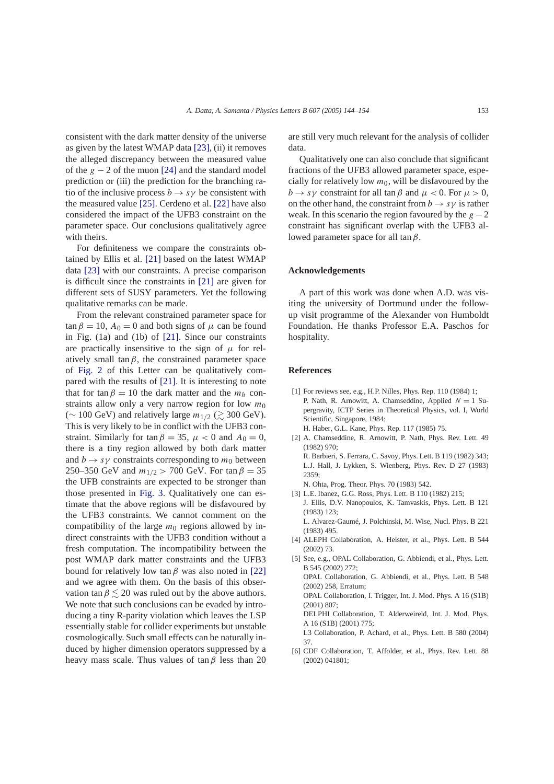<span id="page-9-0"></span>consistent with the dark matter density of the universe as given by the latest WMAP data [\[23\],](#page-10-0) (ii) it removes the alleged discrepancy between the measured value of the  $g - 2$  of the muon [\[24\]](#page-10-0) and the standard model prediction or (iii) the prediction for the branching ratio of the inclusive process  $b \rightarrow s\gamma$  be consistent with the measured value [\[25\].](#page-10-0) Cerdeno et al. [\[22\]](#page-10-0) have also considered the impact of the UFB3 constraint on the parameter space. Our conclusions qualitatively agree with theirs.

For definiteness we compare the constraints obtained by Ellis et al. [\[21\]](#page-10-0) based on the latest WMAP data [\[23\]](#page-10-0) with our constraints. A precise comparison is difficult since the constraints in [\[21\]](#page-10-0) are given for different sets of SUSY parameters. Yet the following qualitative remarks can be made.

From the relevant constrained parameter space for  $\tan \beta = 10$ ,  $A_0 = 0$  and both signs of  $\mu$  can be found in Fig. (1a) and (1b) of [\[21\].](#page-10-0) Since our constraints are practically insensitive to the sign of  $\mu$  for relatively small tan $\beta$ , the constrained parameter space of [Fig. 2](#page-4-0) of this Letter can be qualitatively compared with the results of [\[21\].](#page-10-0) It is interesting to note that for tan  $\beta = 10$  the dark matter and the  $m_h$  constraints allow only a very narrow region for low *m*<sup>0</sup> ( $\sim$  100 GeV) and relatively large  $m_{1/2}$  ( $\gtrsim$  300 GeV). This is very likely to be in conflict with the UFB3 constraint. Similarly for tan  $\beta = 35$ ,  $\mu < 0$  and  $A_0 = 0$ , there is a tiny region allowed by both dark matter and  $b \rightarrow s\gamma$  constraints corresponding to  $m_0$  between 250–350 GeV and  $m_{1/2} > 700$  GeV. For tan  $\beta = 35$ the UFB constraints are expected to be stronger than those presented in [Fig. 3.](#page-5-0) Qualitatively one can estimate that the above regions will be disfavoured by the UFB3 constraints. We cannot comment on the compatibility of the large  $m_0$  regions allowed by indirect constraints with the UFB3 condition without a fresh computation. The incompatibility between the post WMAP dark matter constraints and the UFB3 bound for relatively low tan *β* was also noted in [\[22\]](#page-10-0) and we agree with them. On the basis of this observation tan  $\beta \leq 20$  was ruled out by the above authors. We note that such conclusions can be evaded by introducing a tiny R-parity violation which leaves the LSP essentially stable for collider experiments but unstable cosmologically. Such small effects can be naturally induced by higher dimension operators suppressed by a heavy mass scale. Thus values of tan*β* less than 20

are still very much relevant for the analysis of collider data.

Qualitatively one can also conclude that significant fractions of the UFB3 allowed parameter space, especially for relatively low  $m_0$ , will be disfavoured by the *b* → *sγ* constraint for all tan *β* and  $\mu$  < 0. For  $\mu$  > 0, on the other hand, the constraint from  $b \rightarrow s\gamma$  is rather weak. In this scenario the region favoured by the  $g - 2$ constraint has significant overlap with the UFB3 allowed parameter space for all tan*β*.

## **Acknowledgements**

A part of this work was done when A.D. was visiting the university of Dortmund under the followup visit programme of the Alexander von Humboldt Foundation. He thanks Professor E.A. Paschos for hospitality.

## **References**

- [1] For reviews see, e.g., H.P. Nilles, Phys. Rep. 110 (1984) 1; P. Nath, R. Arnowitt, A. Chamseddine, Applied *N* = 1 Supergravity, ICTP Series in Theoretical Physics, vol. I, World Scientific, Singapore, 1984; H. Haber, G.L. Kane, Phys. Rep. 117 (1985) 75.
- [2] A. Chamseddine, R. Arnowitt, P. Nath, Phys. Rev. Lett. 49 (1982) 970; R. Barbieri, S. Ferrara, C. Savoy, Phys. Lett. B 119 (1982) 343; L.J. Hall, J. Lykken, S. Wienberg, Phys. Rev. D 27 (1983) 2359; N. Ohta, Prog. Theor. Phys. 70 (1983) 542.

[3] L.E. Ibanez, G.G. Ross, Phys. Lett. B 110 (1982) 215; J. Ellis, D.V. Nanopoulos, K. Tamvaskis, Phys. Lett. B 121 (1983) 123; L. Alvarez-Gaumé, J. Polchinski, M. Wise, Nucl. Phys. B 221

(1983) 495.

- [4] ALEPH Collaboration, A. Heister, et al., Phys. Lett. B 544 (2002) 73.
- [5] See, e.g., OPAL Collaboration, G. Abbiendi, et al., Phys. Lett. B 545 (2002) 272; OPAL Collaboration, G. Abbiendi, et al., Phys. Lett. B 548 (2002) 258, Erratum; OPAL Collaboration, I. Trigger, Int. J. Mod. Phys. A 16 (S1B) (2001) 807; DELPHI Collaboration, T. Alderweireld, Int. J. Mod. Phys. A 16 (S1B) (2001) 775; L3 Collaboration, P. Achard, et al., Phys. Lett. B 580 (2004) 37.
- [6] CDF Collaboration, T. Affolder, et al., Phys. Rev. Lett. 88 (2002) 041801;